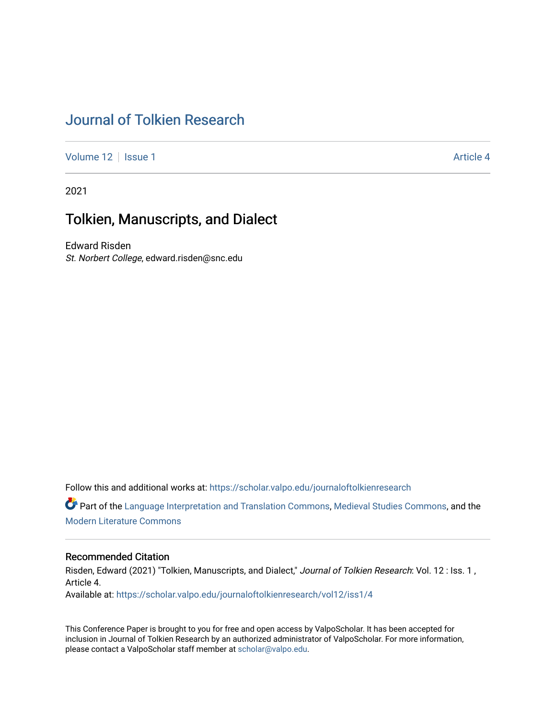# [Journal of Tolkien Research](https://scholar.valpo.edu/journaloftolkienresearch)

[Volume 12](https://scholar.valpo.edu/journaloftolkienresearch/vol12) | [Issue 1](https://scholar.valpo.edu/journaloftolkienresearch/vol12/iss1) Article 4

2021

# Tolkien, Manuscripts, and Dialect

Edward Risden St. Norbert College, edward.risden@snc.edu

Follow this and additional works at: [https://scholar.valpo.edu/journaloftolkienresearch](https://scholar.valpo.edu/journaloftolkienresearch?utm_source=scholar.valpo.edu%2Fjournaloftolkienresearch%2Fvol12%2Fiss1%2F4&utm_medium=PDF&utm_campaign=PDFCoverPages) 

Part of the [Language Interpretation and Translation Commons](http://network.bepress.com/hgg/discipline/1391?utm_source=scholar.valpo.edu%2Fjournaloftolkienresearch%2Fvol12%2Fiss1%2F4&utm_medium=PDF&utm_campaign=PDFCoverPages), [Medieval Studies Commons](http://network.bepress.com/hgg/discipline/480?utm_source=scholar.valpo.edu%2Fjournaloftolkienresearch%2Fvol12%2Fiss1%2F4&utm_medium=PDF&utm_campaign=PDFCoverPages), and the [Modern Literature Commons](http://network.bepress.com/hgg/discipline/1050?utm_source=scholar.valpo.edu%2Fjournaloftolkienresearch%2Fvol12%2Fiss1%2F4&utm_medium=PDF&utm_campaign=PDFCoverPages) 

#### Recommended Citation

Risden, Edward (2021) "Tolkien, Manuscripts, and Dialect," Journal of Tolkien Research: Vol. 12 : Iss. 1, Article 4. Available at: [https://scholar.valpo.edu/journaloftolkienresearch/vol12/iss1/4](https://scholar.valpo.edu/journaloftolkienresearch/vol12/iss1/4?utm_source=scholar.valpo.edu%2Fjournaloftolkienresearch%2Fvol12%2Fiss1%2F4&utm_medium=PDF&utm_campaign=PDFCoverPages) 

This Conference Paper is brought to you for free and open access by ValpoScholar. It has been accepted for inclusion in Journal of Tolkien Research by an authorized administrator of ValpoScholar. For more information, please contact a ValpoScholar staff member at [scholar@valpo.edu](mailto:scholar@valpo.edu).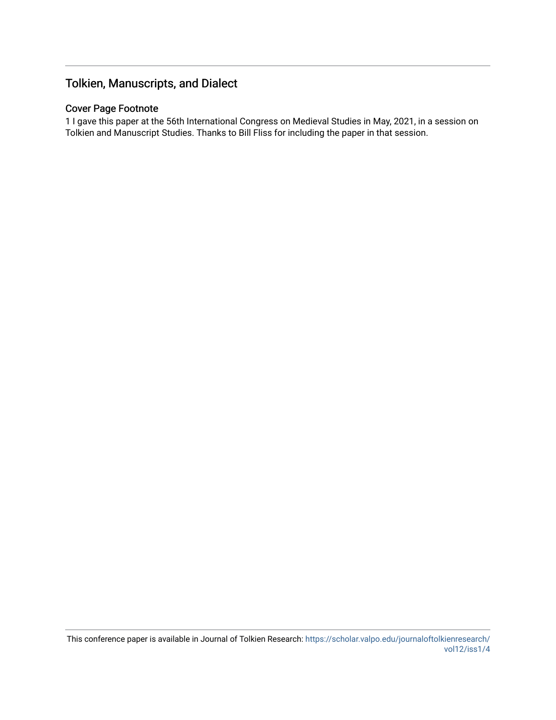## Tolkien, Manuscripts, and Dialect

## Cover Page Footnote

1 I gave this paper at the 56th International Congress on Medieval Studies in May, 2021, in a session on Tolkien and Manuscript Studies. Thanks to Bill Fliss for including the paper in that session.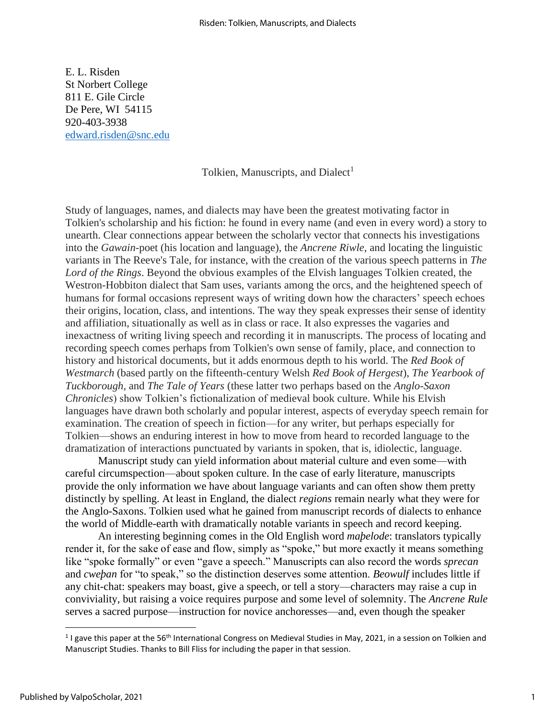E. L. Risden St Norbert College 811 E. Gile Circle De Pere, WI 54115 920-403-3938 [edward.risden@snc.edu](mailto:edward.risden@snc.edu)

### Tolkien, Manuscripts, and Dialect<sup>1</sup>

Study of languages, names, and dialects may have been the greatest motivating factor in Tolkien's scholarship and his fiction: he found in every name (and even in every word) a story to unearth. Clear connections appear between the scholarly vector that connects his investigations into the *Gawain*-poet (his location and language), the *Ancrene Riwle*, and locating the linguistic variants in The Reeve's Tale, for instance, with the creation of the various speech patterns in *The Lord of the Rings*. Beyond the obvious examples of the Elvish languages Tolkien created, the Westron-Hobbiton dialect that Sam uses, variants among the orcs, and the heightened speech of humans for formal occasions represent ways of writing down how the characters' speech echoes their origins, location, class, and intentions. The way they speak expresses their sense of identity and affiliation, situationally as well as in class or race. It also expresses the vagaries and inexactness of writing living speech and recording it in manuscripts. The process of locating and recording speech comes perhaps from Tolkien's own sense of family, place, and connection to history and historical documents, but it adds enormous depth to his world. The *Red Book of Westmarch* (based partly on the fifteenth-century Welsh *Red Book of Hergest*), *The Yearbook of Tuckborough*, and *The Tale of Years* (these latter two perhaps based on the *Anglo-Saxon Chronicles*) show Tolkien's fictionalization of medieval book culture. While his Elvish languages have drawn both scholarly and popular interest, aspects of everyday speech remain for examination. The creation of speech in fiction—for any writer, but perhaps especially for Tolkien—shows an enduring interest in how to move from heard to recorded language to the dramatization of interactions punctuated by variants in spoken, that is, idiolectic, language.

Manuscript study can yield information about material culture and even some—with careful circumspection—about spoken culture. In the case of early literature, manuscripts provide the only information we have about language variants and can often show them pretty distinctly by spelling. At least in England, the dialect *regions* remain nearly what they were for the Anglo-Saxons. Tolkien used what he gained from manuscript records of dialects to enhance the world of Middle-earth with dramatically notable variants in speech and record keeping.

An interesting beginning comes in the Old English word *maþelode*: translators typically render it, for the sake of ease and flow, simply as "spoke," but more exactly it means something like "spoke formally" or even "gave a speech." Manuscripts can also record the words *sprecan* and *cweþan* for "to speak," so the distinction deserves some attention. *Beowulf* includes little if any chit-chat: speakers may boast, give a speech, or tell a story—characters may raise a cup in conviviality, but raising a voice requires purpose and some level of solemnity. The *Ancrene Rule* serves a sacred purpose—instruction for novice anchoresses—and, even though the speaker

<sup>&</sup>lt;sup>1</sup> I gave this paper at the 56<sup>th</sup> International Congress on Medieval Studies in May, 2021, in a session on Tolkien and Manuscript Studies. Thanks to Bill Fliss for including the paper in that session.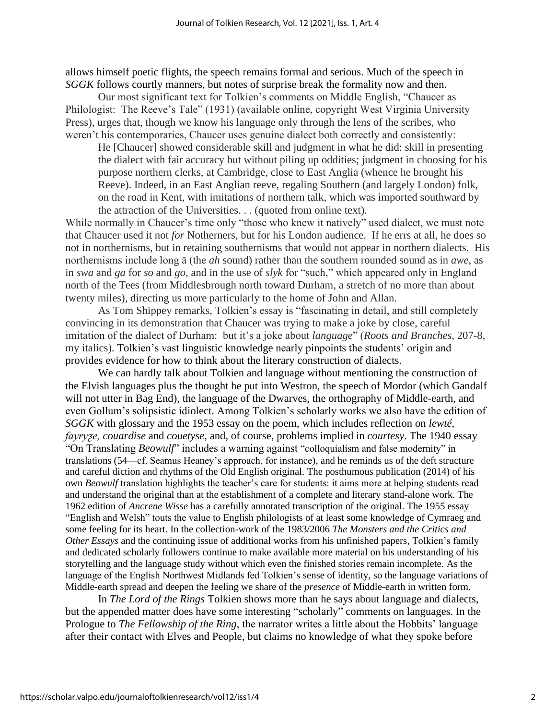allows himself poetic flights, the speech remains formal and serious. Much of the speech in *SGGK* follows courtly manners, but notes of surprise break the formality now and then.

Our most significant text for Tolkien's comments on Middle English, "Chaucer as Philologist: The Reeve's Tale" (1931) (available online, copyright West Virginia University Press), urges that, though we know his language only through the lens of the scribes, who weren't his contemporaries, Chaucer uses genuine dialect both correctly and consistently:

He [Chaucer] showed considerable skill and judgment in what he did: skill in presenting the dialect with fair accuracy but without piling up oddities; judgment in choosing for his purpose northern clerks, at Cambridge, close to East Anglia (whence he brought his Reeve). Indeed, in an East Anglian reeve, regaling Southern (and largely London) folk, on the road in Kent, with imitations of northern talk, which was imported southward by the attraction of the Universities. . . (quoted from online text).

While normally in Chaucer's time only "those who knew it natively" used dialect, we must note that Chaucer used it not *for* Notherners, but for his London audience. If he errs at all, he does so not in northernisms, but in retaining southernisms that would not appear in northern dialects. His northernisms include long ā (the *ah* sound) rather than the southern rounded sound as in *awe*, as in *swa* and *ga* for *so* and *go*, and in the use of *slyk* for "such," which appeared only in England north of the Tees (from Middlesbrough north toward Durham, a stretch of no more than about twenty miles), directing us more particularly to the home of John and Allan.

As Tom Shippey remarks, Tolkien's essay is "fascinating in detail, and still completely convincing in its demonstration that Chaucer was trying to make a joke by close, careful imitation of the dialect of Durham: but it's a joke about *language*" (*Roots and Branches*, 207-8, my italics). Tolkien's vast linguistic knowledge nearly pinpoints the students' origin and provides evidence for how to think about the literary construction of dialects.

We can hardly talk about Tolkien and language without mentioning the construction of the Elvish languages plus the thought he put into Westron, the speech of Mordor (which Gandalf will not utter in Bag End), the language of the Dwarves, the orthography of Middle-earth, and even Gollum's solipsistic idiolect. Among Tolkien's scholarly works we also have the edition of *SGGK* with glossary and the 1953 essay on the poem, which includes reflection on *lewté*, *fayryƺe, couardise* and *couetyse*, and, of course, problems implied in *courtesy*. The 1940 essay "On Translating *Beowulf*" includes a warning against "colloquialism and false modernity" in translations (54—cf. Seamus Heaney's approach, for instance), and he reminds us of the deft structure and careful diction and rhythms of the Old English original. The posthumous publication (2014) of his own *Beowulf* translation highlights the teacher's care for students: it aims more at helping students read and understand the original than at the establishment of a complete and literary stand-alone work. The 1962 edition of *Ancrene Wisse* has a carefully annotated transcription of the original. The 1955 essay "English and Welsh" touts the value to English philologists of at least some knowledge of Cymraeg and some feeling for its heart. In the collection-work of the 1983/2006 *The Monsters and the Critics and Other Essays* and the continuing issue of additional works from his unfinished papers, Tolkien's family and dedicated scholarly followers continue to make available more material on his understanding of his storytelling and the language study without which even the finished stories remain incomplete. As the language of the English Northwest Midlands fed Tolkien's sense of identity, so the language variations of Middle-earth spread and deepen the feeling we share of the *presence* of Middle-earth in written form.

In *The Lord of the Rings* Tolkien shows more than he says about language and dialects, but the appended matter does have some interesting "scholarly" comments on languages. In the Prologue to *The Fellowship of the Ring*, the narrator writes a little about the Hobbits' language after their contact with Elves and People, but claims no knowledge of what they spoke before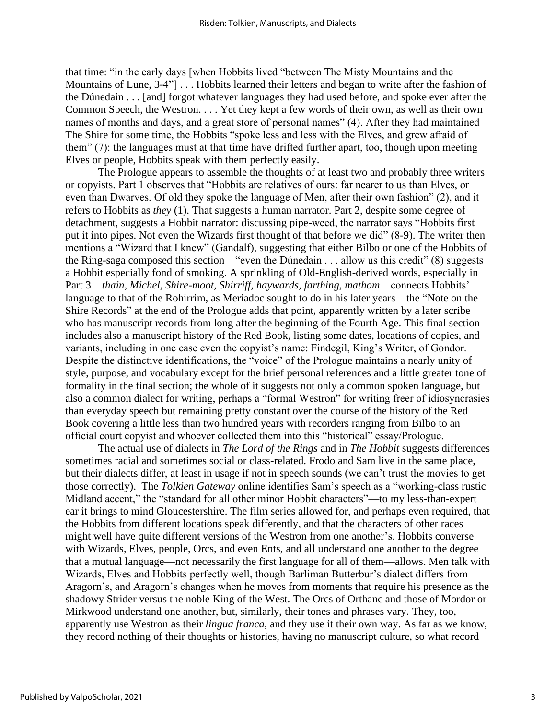that time: "in the early days [when Hobbits lived "between The Misty Mountains and the Mountains of Lune, 3-4"] . . . Hobbits learned their letters and began to write after the fashion of the Dúnedain . . . [and] forgot whatever languages they had used before, and spoke ever after the Common Speech, the Westron. . . . Yet they kept a few words of their own, as well as their own names of months and days, and a great store of personal names" (4). After they had maintained The Shire for some time, the Hobbits "spoke less and less with the Elves, and grew afraid of them" (7): the languages must at that time have drifted further apart, too, though upon meeting Elves or people, Hobbits speak with them perfectly easily.

The Prologue appears to assemble the thoughts of at least two and probably three writers or copyists. Part 1 observes that "Hobbits are relatives of ours: far nearer to us than Elves, or even than Dwarves. Of old they spoke the language of Men, after their own fashion" (2), and it refers to Hobbits as *they* (1). That suggests a human narrator. Part 2, despite some degree of detachment, suggests a Hobbit narrator: discussing pipe-weed, the narrator says "Hobbits first put it into pipes. Not even the Wizards first thought of that before we did" (8-9). The writer then mentions a "Wizard that I knew" (Gandalf), suggesting that either Bilbo or one of the Hobbits of the Ring-saga composed this section—"even the Dúnedain . . . allow us this credit" (8) suggests a Hobbit especially fond of smoking. A sprinkling of Old-English-derived words, especially in Part 3—*thain, Michel, Shire-moot, Shirriff, haywards, farthing, mathom*—connects Hobbits' language to that of the Rohirrim, as Meriadoc sought to do in his later years—the "Note on the Shire Records" at the end of the Prologue adds that point, apparently written by a later scribe who has manuscript records from long after the beginning of the Fourth Age. This final section includes also a manuscript history of the Red Book, listing some dates, locations of copies, and variants, including in one case even the copyist's name: Findegil, King's Writer, of Gondor. Despite the distinctive identifications, the "voice" of the Prologue maintains a nearly unity of style, purpose, and vocabulary except for the brief personal references and a little greater tone of formality in the final section; the whole of it suggests not only a common spoken language, but also a common dialect for writing, perhaps a "formal Westron" for writing freer of idiosyncrasies than everyday speech but remaining pretty constant over the course of the history of the Red Book covering a little less than two hundred years with recorders ranging from Bilbo to an official court copyist and whoever collected them into this "historical" essay/Prologue.

The actual use of dialects in *The Lord of the Rings* and in *The Hobbit* suggests differences sometimes racial and sometimes social or class-related. Frodo and Sam live in the same place, but their dialects differ, at least in usage if not in speech sounds (we can't trust the movies to get those correctly). The *Tolkien Gateway* online identifies Sam's speech as a "working-class rustic Midland accent," the "standard for all other minor Hobbit characters"—to my less-than-expert ear it brings to mind Gloucestershire. The film series allowed for, and perhaps even required, that the Hobbits from different locations speak differently, and that the characters of other races might well have quite different versions of the Westron from one another's. Hobbits converse with Wizards, Elves, people, Orcs, and even Ents, and all understand one another to the degree that a mutual language—not necessarily the first language for all of them—allows. Men talk with Wizards, Elves and Hobbits perfectly well, though Barliman Butterbur's dialect differs from Aragorn's, and Aragorn's changes when he moves from moments that require his presence as the shadowy Strider versus the noble King of the West. The Orcs of Orthanc and those of Mordor or Mirkwood understand one another, but, similarly, their tones and phrases vary. They, too, apparently use Westron as their *lingua franca*, and they use it their own way. As far as we know, they record nothing of their thoughts or histories, having no manuscript culture, so what record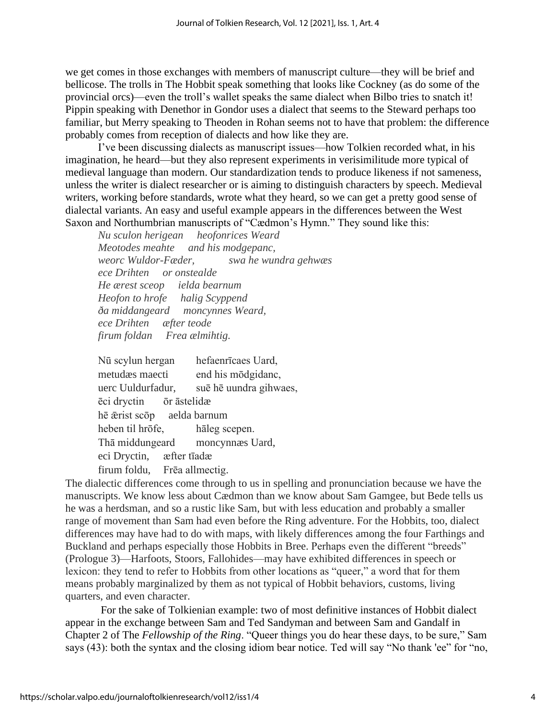we get comes in those exchanges with members of manuscript culture—they will be brief and bellicose. The trolls in The Hobbit speak something that looks like Cockney (as do some of the provincial orcs)—even the troll's wallet speaks the same dialect when Bilbo tries to snatch it! Pippin speaking with Denethor in Gondor uses a dialect that seems to the Steward perhaps too familiar, but Merry speaking to Theoden in Rohan seems not to have that problem: the difference probably comes from reception of dialects and how like they are.

I've been discussing dialects as manuscript issues—how Tolkien recorded what, in his imagination, he heard—but they also represent experiments in verisimilitude more typical of medieval language than modern. Our standardization tends to produce likeness if not sameness, unless the writer is dialect researcher or is aiming to distinguish characters by speech. Medieval writers, working before standards, wrote what they heard, so we can get a pretty good sense of dialectal variants. An easy and useful example appears in the differences between the West Saxon and Northumbrian manuscripts of "Cædmon's Hymn." They sound like this:

*Nu sculon herigean heofonrices Weard Meotodes meahte and his modgepanc, weorc Wuldor-Fæder, swa he wundra gehwæs ece Drihten or onstealde He ærest sceop ielda bearnum Heofon to hrofe halig Scyppend ða middangeard moncynnes Weard, ece Drihten æfter teode firum foldan Frea ælmihtig.*

Nū scylun hergan hefaenrīcaes Uard, metudæs maecti end his mōdgidanc, uerc Uuldurfadur, suē hē uundra gihwaes, ēci dryctin ōr āstelidæ hē ǣrist scōp aelda barnum heben til hrōfe, hāleg scepen. Thā middungeard moncynnæs Uard, eci Dryctin, æfter tīadæ firum foldu, Frēa allmectig.

The dialectic differences come through to us in spelling and pronunciation because we have the manuscripts. We know less about Cædmon than we know about Sam Gamgee, but Bede tells us he was a herdsman, and so a rustic like Sam, but with less education and probably a smaller range of movement than Sam had even before the Ring adventure. For the Hobbits, too, dialect differences may have had to do with maps, with likely differences among the four Farthings and Buckland and perhaps especially those Hobbits in Bree. Perhaps even the different "breeds" (Prologue 3)—Harfoots, Stoors, Fallohides—may have exhibited differences in speech or lexicon: they tend to refer to Hobbits from other locations as "queer," a word that for them means probably marginalized by them as not typical of Hobbit behaviors, customs, living quarters, and even character.

For the sake of Tolkienian example: two of most definitive instances of Hobbit dialect appear in the exchange between Sam and Ted Sandyman and between Sam and Gandalf in Chapter 2 of The *Fellowship of the Ring*. "Queer things you do hear these days, to be sure," Sam says (43): both the syntax and the closing idiom bear notice. Ted will say "No thank 'ee" for "no,